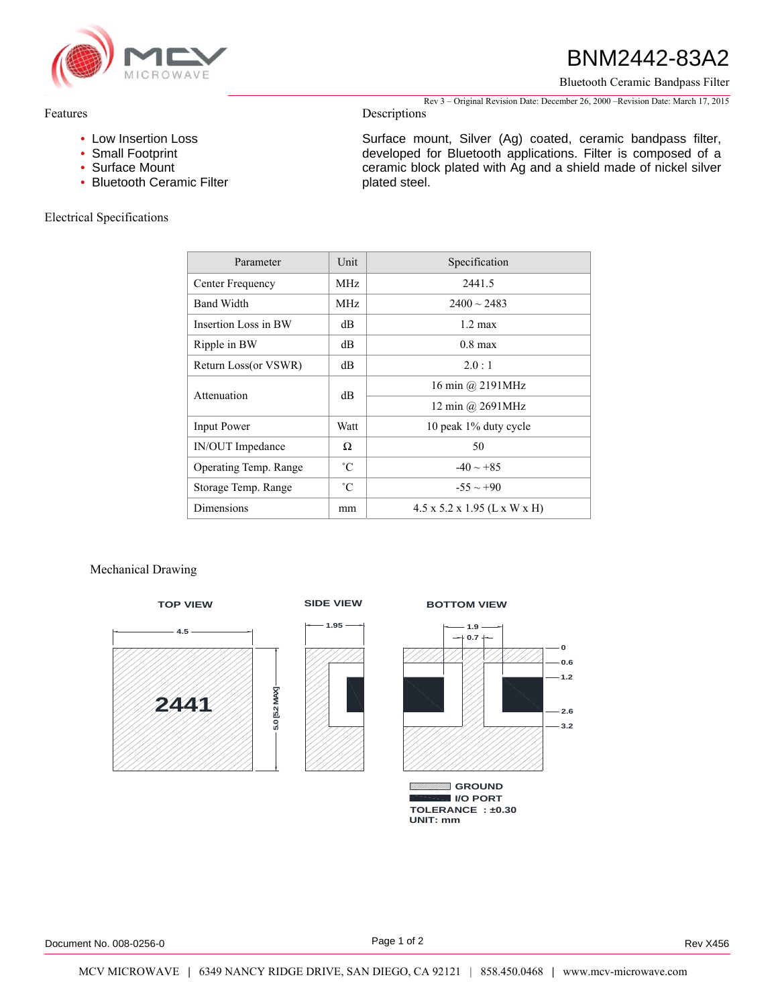

# BNM2442-83A2

Bluetooth Ceramic Bandpass Filter

Rev 3 – Original Revision Date: December 26, 2000 –Revision Date: March 17, 2015 Descriptions

Surface mount, Silver (Ag) coated, ceramic bandpass filter, developed for Bluetooth applications. Filter is composed of a ceramic block plated with Ag and a shield made of nickel silver

# Features

- Low Insertion Loss
- Small Footprint
- Surface Mount
- Bluetooth Ceramic Filter

# Electrical Specifications

| Parameter             | Unit        | Specification                            |
|-----------------------|-------------|------------------------------------------|
| Center Frequency      | MHz.        | 2441.5                                   |
| <b>Band Width</b>     | MHz.        | $2400 \sim 2483$                         |
| Insertion Loss in BW  | dB          | $1.2 \text{ max}$                        |
| Ripple in BW          | dВ          | $0.8$ max                                |
| Return Loss(or VSWR)  | dB          | 2.0:1                                    |
| Attenuation           | dВ          | 16 min @ 2191MHz                         |
|                       |             | 12 min @ $2691MHz$                       |
| <b>Input Power</b>    | Watt        | 10 peak 1% duty cycle                    |
| IN/OUT Impedance      | Ω           | 50                                       |
| Operating Temp. Range | $^{\circ}C$ | $-40 \sim +85$                           |
| Storage Temp. Range   | $^{\circ}C$ | $-55 \sim +90$                           |
| Dimensions            | mm          | $4.5 \times 5.2 \times 1.95$ (L x W x H) |

plated steel.

# Mechanical Drawing



# **1.95**





**TOLERANCE : ±0.30 UNIT: mm I/O PORT**